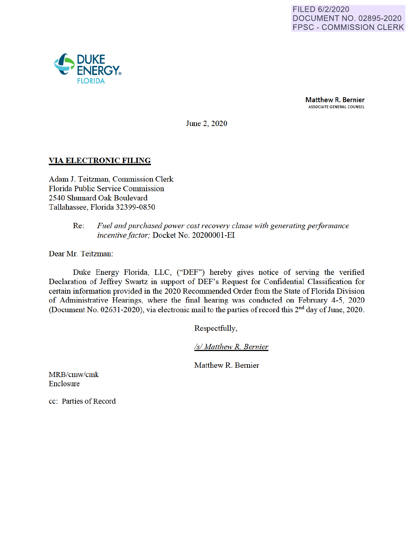

**Matthew R. Bernier** ASSOCIATE GENERAL COUNSEL

June 2, 2020

# **VIA ELECTRONIC FILING**

Adam J. Teitzman, Commission Clerk Florida Public Service Commission 2540 Shumard Oak Boulevard Tallahassee, Florida 32399-0850

# Re: Fuel and purchased power cost recovery clause with generating performance *incentive factor;* Docket No. 20200001-EI

Dear Mr. Teitzman:

Duke Energy Florida, LLC, ("DEF") hereby gives notice of serving the verified Declaration of Jeffrey Swartz in support of DEF's Request for Confidential Classification for certain information provided in the 2020 Recommended Order from the State of Florida Division of Administrative Hearings, where the final hearing was conducted on Febmary 4-5, 2020 (Document No. 02631-2020), via electronic mail to the parties of record this 2<sup>nd</sup> day of June, 2020.

Respectfully

*Isl Matthew R. Bernier* 

Matthew R. Bernier

MRB/cmw/cmk **Enclosure** 

cc: Parties of Record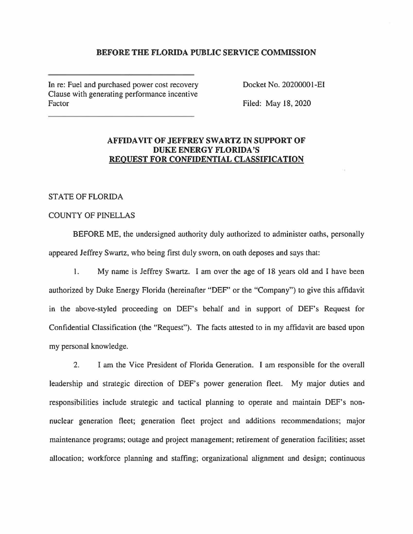#### **BEFORE THE FLORIDA PUBLIC SERVICE COMMISSION**

In re: Fuel and purchased power cost recovery Clause with generating performance incentive Factor

Docket No. 20200001-EI

Filed: May 18, 2020

# **AFFIDAVIT OF JEFFREY SWARTZ IN SUPPORT OF DUKE ENERGY FLORIDA'S REQUEST FOR CONFIDENTIAL CLASSIFICATION**

### STATE OF FLORIDA

### COUNTY OF PINELLAS

BEFORE ME, the undersigned authority duly authorized to administer oaths, personally appeared Jeffrey Swartz, who being first duly sworn, on oath deposes and says that:

1. My name is Jeffrey Swartz. I am over the age of 18 years old and I have been authorized by Duke Energy Florida (hereinafter "DEF' or the "Company") to give this affidavit in the above-styled proceeding on DEF's behalf and in support of DEF's Request for Confidential Classification (the "Request"). The facts attested to in my affidavit are based upon my personal knowledge.

2. I am the Vice President of Florida Generation. I am responsible for the overall leadership and strategic direction of DEF's power generation fleet. My major duties and responsibilities include strategic and tactical planning to operate and maintain DEF's nonnuclear generation fleet; generation fleet project and additions recommendations; major maintenance programs; outage and project management; retirement of generation facilities; asset allocation; workforce planning and staffing; organizational alignment and design; continuous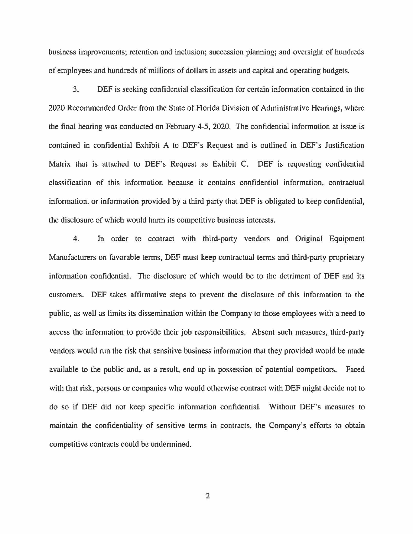business improvements; retention and inclusion; succession planning; and oversight of hundreds of employees and hundreds of millions of dollars in assets and capital and operating budgets.

3. DEF is seeking confidential classification for certain information contained in the 2020 Recommended Order from the State of Florida Division of Administrative Hearings, where the final hearing was conducted on February 4-5, 2020. The confidential information at issue is contained in confidential Exhibit A to DEF's Request and is outlined in DEF's Justification Matrix that is attached to DEF's Request as Exhibit C. DEF is requesting confidential classification of this information because it contains confidential information, contractual information, or information provided by a third party that DEF is obligated to keep confidential, the disclosure of which would harm its competitive business interests.

4. In order to contract with third-party vendors and Original Equipment Manufacturers on favorable terms, DEF must keep contractual terms and third-party proprietary information confidential. The disclosure of which would be to the detriment of DEF and its customers. DEF takes affirmative steps to prevent the disclosure of this information to the public, as well as limits its dissemination within the Company to those employees with a need to access the information to provide their job responsibilities. Absent such measures, third-party vendors would run the risk that sensitive business information that they provided would be made available to the public and, as a result, end up in possession of potential competitors. Faced with that risk, persons or companies who would otherwise contract with DEF might decide not to do so if DEF did not keep specific information confidential. Without DEF's measures to maintain the confidentiality of sensitive terms in contracts, the Company's efforts to obtain competitive contracts could be undermined.

2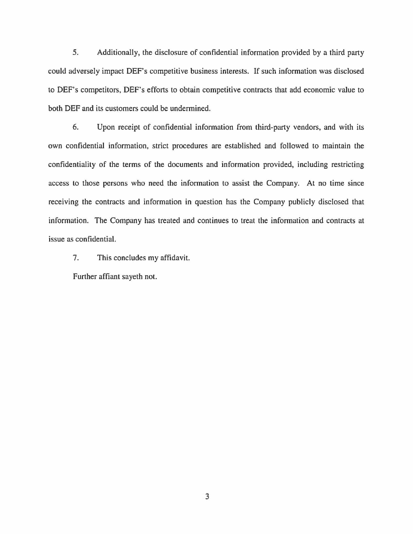5. Additionally, the disclosure of confidential information provided by a third party could adversely impact DEF's competitive business interests. If such information was disclosed to DEF's competitors, DEF's efforts to obtain competitive contracts that add economic value to both DEF and its customers could be undermined.

6. Upon receipt of confidential information from third-party vendors, and with its own confidential information, strict procedures are established and followed to maintain the confidentiality of the terms of the documents and information provided, including restricting access to those persons who need the information to assist the Company. At no time since receiving the contracts and information in question has the Company publicly disclosed that information. The Company has treated and continues to treat the information and contracts at issue as confidential.

7. This concludes my affidavit.

Further affiant sayeth not.